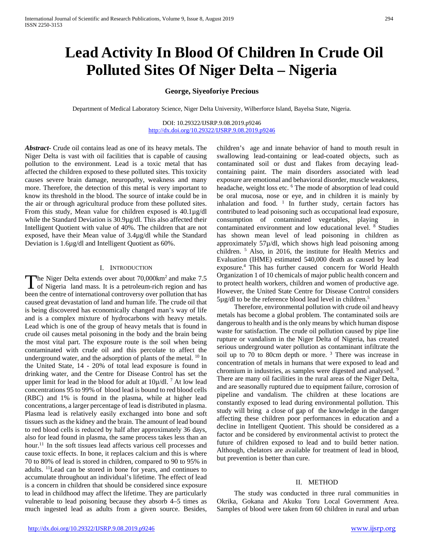# **Lead Activity In Blood Of Children In Crude Oil Polluted Sites Of Niger Delta – Nigeria**

## **George, Siyeoforiye Precious**

Department of Medical Laboratory Science, Niger Delta University, Wilberforce Island, Bayelsa State, Nigeria.

DOI: 10.29322/IJSRP.9.08.2019.p9246 <http://dx.doi.org/10.29322/IJSRP.9.08.2019.p9246>

*Abstract***-** Crude oil contains lead as one of its heavy metals. The Niger Delta is vast with oil facilities that is capable of causing pollution to the environment. Lead is a toxic metal that has affected the children exposed to these polluted sites. This toxicity causes severe brain damage, neuropathy, weakness and many more. Therefore, the detection of this metal is very important to know its threshold in the blood. The source of intake could be in the air or through agricultural produce from these polluted sites. From this study, Mean value for children exposed is 40.1µg/dl while the Standard Deviation is 30.9µg/dl. This also affected their Intelligent Quotient with value of 40%. The children that are not exposed, have their Mean value of 3.4µg/dl while the Standard Deviation is 1.6µg/dl and Intelligent Quotient as 60%.

#### I. INTRODUCTION

The Niger Delta extends over about 70,000km<sup>2</sup> and make 7.5 The Niger Delta extends over about 70,000km<sup>2</sup> and make 7.5<br>of Nigeria land mass. It is a petroleum-rich region and has been the centre of international controversy over pollution that has caused great devastation of land and human life. The crude oil that is being discovered has economically changed man's way of life and is a complex mixture of hydrocarbons with heavy metals. Lead which is one of the group of heavy metals that is found in crude oil causes metal poisoning in the body and the brain being the most vital part. The exposure route is the soil when being contaminated with crude oil and this percolate to affect the underground water, and the adsorption of plants of the metal. <sup>10</sup> In the United State, 14 - 20% of total lead exposure is found in drinking water, and the Centre for Disease Control has set the upper limit for lead in the blood for adult at  $10\mu/dl$ . <sup>7</sup> At low lead concentrations 95 to 99% of blood lead is bound to red blood cells (RBC) and 1% is found in the plasma, while at higher lead concentrations, a larger percentage of lead is distributed in plasma. Plasma lead is relatively easily exchanged into bone and soft tissues such as the kidney and the brain. The amount of lead bound to red blood cells is reduced by half after approximately 36 days, also for lead found in plasma, the same process takes less than an hour.<sup>11</sup> In the soft tissues lead affects various cell processes and cause toxic effects. In bone, it replaces calcium and this is where 70 to 80% of lead is stored in children, compared to 90 to 95% in adults. 11Lead can be stored in bone for years, and continues to accumulate throughout an individual's lifetime. The effect of lead is a concern in children that should be considered since exposure to lead in childhood may affect the lifetime. They are particularly vulnerable to lead poisoning because they absorb 4–5 times as much ingested lead as adults from a given source. Besides,

children's age and innate behavior of hand to mouth result in swallowing lead-containing or lead-coated objects, such as contaminated soil or dust and flakes from decaying leadcontaining paint. The main disorders associated with lead exposure are emotional and behavioral disorder, muscle weakness, headache, weight loss etc. <sup>6</sup> The mode of absorption of lead could be oral mucosa, nose or eye, and in children it is mainly by inhalation and food.  $1$  In further study, certain factors has contributed to lead poisoning such as occupational lead exposure, consumption of contaminated vegetables, playing in contaminated environment and low educational level. 8 Studies has shown mean level of lead poisoning in children as approximately 57µ/dl, which shows high lead poisoning among children. 5 Also, in 2016, the institute for Health Metrics and Evaluation (IHME) estimated 540,000 death as caused by lead exposure.4 This has further caused concern for World Health Organization 1 of 10 chemicals of major public health concern and to protect health workers, children and women of productive age. However, the United State Centre for Disease Control considers 5µg/dl to be the reference blood lead level in children.5

 Therefore, environmental pollution with crude oil and heavy metals has become a global problem. The contaminated soils are dangerous to health and is the only means by which human dispose waste for satisfaction. The crude oil pollution caused by pipe line rupture or vandalism in the Niger Delta of Nigeria, has created serious underground water pollution as contaminant infiltrate the soil up to 70 to 80cm depth or more.<sup>3</sup> There was increase in concentration of metals in humans that were exposed to lead and chromium in industries, as samples were digested and analysed. <sup>9</sup> There are many oil facilities in the rural areas of the Niger Delta, and are seasonally ruptured due to equipment failure, corrosion of pipeline and vandalism. The children at these locations are constantly exposed to lead during environmental pollution. This study will bring a close of gap of the knowledge in the danger affecting these children poor performances in education and a decline in Intelligent Quotient. This should be considered as a factor and be considered by environmental activist to protect the future of children exposed to lead and to build better nation. Although, chelators are available for treatment of lead in blood, but prevention is better than cure.

## II. METHOD

 The study was conducted in three rural communities in Okrika, Gokana and Akuku Toru Local Government Area. Samples of blood were taken from 60 children in rural and urban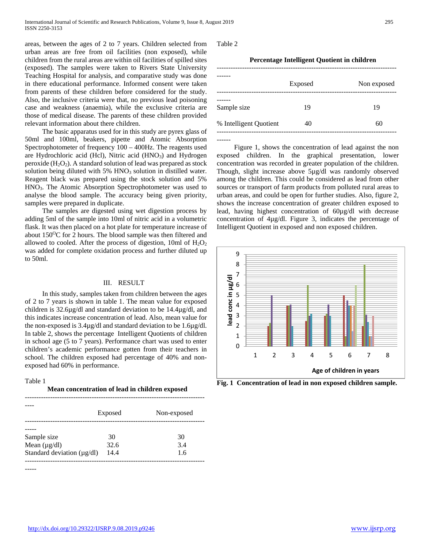areas, between the ages of 2 to 7 years. Children selected from urban areas are free from oil facilities (non exposed), while children from the rural areas are within oil facilities of spilled sites (exposed). The samples were taken to Rivers State University Teaching Hospital for analysis, and comparative study was done in there educational performance. Informed consent were taken from parents of these children before considered for the study. Also, the inclusive criteria were that, no previous lead poisoning case and weakness (anaemia), while the exclusive criteria are those of medical disease. The parents of these children provided relevant information about there children.

 The basic apparatus used for in this study are pyrex glass of 50ml and 100ml, beakers, pipette and Atomic Absorption Spectrophotometer of frequency 100 – 400Hz. The reagents used are Hydrochloric acid (Hcl), Nitric acid (HNO<sub>3</sub>) and Hydrogen peroxide  $(H_2O_2)$ . A standard solution of lead was prepared as stock solution being diluted with 5% HNO<sub>3</sub> solution in distilled water. Reagent black was prepared using the stock solution and 5% HNO3. The Atomic Absorption Spectrophotometer was used to analyse the blood sample. The accuracy being given priority, samples were prepared in duplicate.

 The samples are digested using wet digestion process by adding 5ml of the sample into 10ml of nitric acid in a volumetric flask. It was then placed on a hot plate for temperature increase of about 150<sup>o</sup>C for 2 hours. The blood sample was then filtered and allowed to cooled. After the process of digestion, 10ml of  $H_2O_2$ was added for complete oxidation process and further diluted up to 50ml.

## III. RESULT

 In this study, samples taken from children between the ages of 2 to 7 years is shown in table 1. The mean value for exposed children is 32.6µg/dl and standard deviation to be 14.4µg/dl, and this indicates increase concentration of lead. Also, mean value for the non-exposed is 3.4µg/dl and standard deviation to be 1.6µg/dl. In table 2, shows the percentage Intelligent Quotients of children in school age (5 to 7 years). Performance chart was used to enter children's academic performance gotten from their teachers in school. The children exposed had percentage of 40% and nonexposed had 60% in performance.

## Table 1

## **Mean concentration of lead in children exposed**

|                                 | Exposed | Non-exposed |
|---------------------------------|---------|-------------|
|                                 |         |             |
|                                 |         |             |
| Sample size                     | 30      | 30          |
| Mean $(\mu g/dl)$               | 32.6    | 3.4         |
| Standard deviation $(\mu g/dl)$ | 14.4    | 1.6         |
|                                 |         |             |

-----

Table 2

| Percentage Intelligent Quotient in children |  |
|---------------------------------------------|--|
|---------------------------------------------|--|

|                        | Exposed | Non exposed |
|------------------------|---------|-------------|
| Sample size            | 19      | 19          |
| % Intelligent Quotient | 40      | 60          |
|                        |         |             |

 Figure 1, shows the concentration of lead against the non exposed children. In the graphical presentation, lower concentration was recorded in greater population of the children. Though, slight increase above 5µg/dl was randomly observed among the children. This could be considered as lead from other sources or transport of farm products from polluted rural areas to urban areas, and could be open for further studies. Also, figure 2, shows the increase concentration of greater children exposed to lead, having highest concentration of 60µg/dl with decrease concentration of 4µg/dl. Figure 3, indicates the percentage of Intelligent Quotient in exposed and non exposed children.



**Fig. 1 Concentration of lead in non exposed children sample.**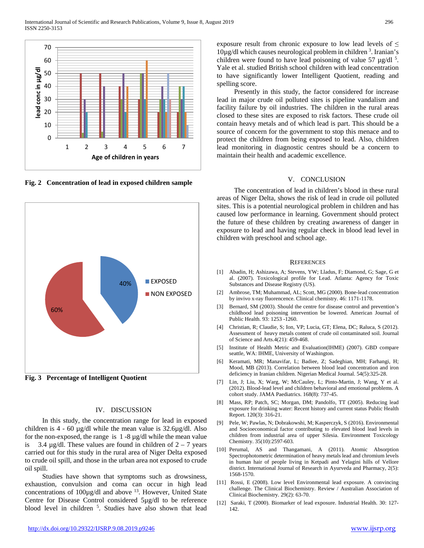

**Fig. 2 Concentration of lead in exposed children sample**



**Fig. 3 Percentage of Intelligent Quotient**

## IV. DISCUSSION

 In this study, the concentration range for lead in exposed children is  $4 - 60 \mu g/d$ l while the mean value is  $32.6\mu g/d$ l. Also for the non-exposed, the range is  $1 - 8 \mu g/d$  while the mean value is 3.4  $\mu$ g/dl. These values are found in children of 2 – 7 years carried out for this study in the rural area of Niger Delta exposed to crude oil spill, and those in the urban area not exposed to crude oil spill.

 Studies have shown that symptoms such as drowsiness, exhaustion, convulsion and coma can occur in high lead concentrations of 100µg/dl and above 13. However, United State Centre for Disease Control considered 5µg/dl to be reference blood level in children <sup>5</sup>. Studies have also shown that lead exposure result from chronic exposure to low lead levels of  $\leq$ 10µg/dl which causes neurological problem in children 3 . Iranian's children were found to have lead poisoning of value 57  $\mu$ g/dl<sup>5</sup>. Yale et al. studied British school children with lead concentration to have significantly lower Intelligent Quotient, reading and spelling score.

 Presently in this study, the factor considered for increase lead in major crude oil polluted sites is pipeline vandalism and facility failure by oil industries. The children in the rural areas closed to these sites are exposed to risk factors. These crude oil contain heavy metals and of which lead is part. This should be a source of concern for the government to stop this menace and to protect the children from being exposed to lead. Also, children lead monitoring in diagnostic centres should be a concern to maintain their health and academic excellence.

## V. CONCLUSION

 The concentration of lead in children's blood in these rural areas of Niger Delta, shows the risk of lead in crude oil polluted sites. This is a potential neurological problem in children and has caused low performance in learning. Government should protect the future of these children by creating awareness of danger in exposure to lead and having regular check in blood lead level in children with preschool and school age.

#### **REFERENCES**

- [1] Abadin, H; Ashizawa, A; Stevens, YW; Lladus, F; Diamond, G; Sage, G et al. (2007). Toxicological profile for Lead. Atlanta: Agency for Toxic Substances and Disease Registry (US).
- [2] Ambrose, TM; Muhammad, AL; Scott, MG (2000). Bone-lead concentration by invivo x-ray fluorencence. Clinical chemistry. 46: 1171-1178.
- [3] Bernard, SM (2003). Should the centre for disease control and prevention's childhood lead poisoning intervention be lowered. American Journal of Public Health. 93: 1253 -1260.
- [4] Christian, R; Claudie, S; Ion, VP; Lucia, GT; Elena, DC; Raluca, S (2012). Assessment of heavy metals content of crude oil contaminated soil. Journal of Science and Arts.4(21): 459-468.
- [5] Institute of Health Metric and Evaluation(IHME) (2007). GBD compare seattle, WA: IHME, University of Washington.
- [6] Keramati, MR; Manavifar, L; Badiee, Z; Sadeghian, MH; Farhangi, H; Mood, MB (2013). Correlation between blood lead concentration and iron deficiency in Iranian children. Nigerian Medical Journal. 54(5):325-28.
- [7] Lin, J; Liu, X; Warg, W; McCauley, L; Pinto-Martin, J; Wang, Y et al. (2012). Blood-lead level and children behavioral and emotional problems. A cohort study. JAMA Paediatrics. 168(8): 737-45.
- [8] Mass, RP; Patch, SC; Morgan, DM; Pandolfo, TT (2005). Reducing lead exposure for drinking water: Recent history and current status Public Health Report. 120(3): 316-21.
- [9] Pele, W; Pawlas, N; Dobrakowshi, M; Kasperczyk, S (2016). Environmental and Socioeconomical factor contributing to elevated blood lead levels in children from industrial area of upper Silesia. Environment Toxicology Chemistry. 35(10):2597-603.
- [10] Perumal, AS and Thangamani, A (2011). Atomic Absorption Spectrophotometric determination of heavy metals lead and chromium levels in human hair of people living in Ketpadi and Yelagini hills of Vellore district. International Journal of Research in Ayurveda and Pharmacy, 2(5): 1568-1570.
- [11] Rossi, E (2008). Low level Environmental lead exposure. A convincing challenge. The Clinical Biochemistry. Review / Australian Association of Clinical Biochemistry. 29(2): 63-70.
- [12] Saraki, T (2000). Biomarker of lead exposure. Industrial Health. 30: 127- 142.